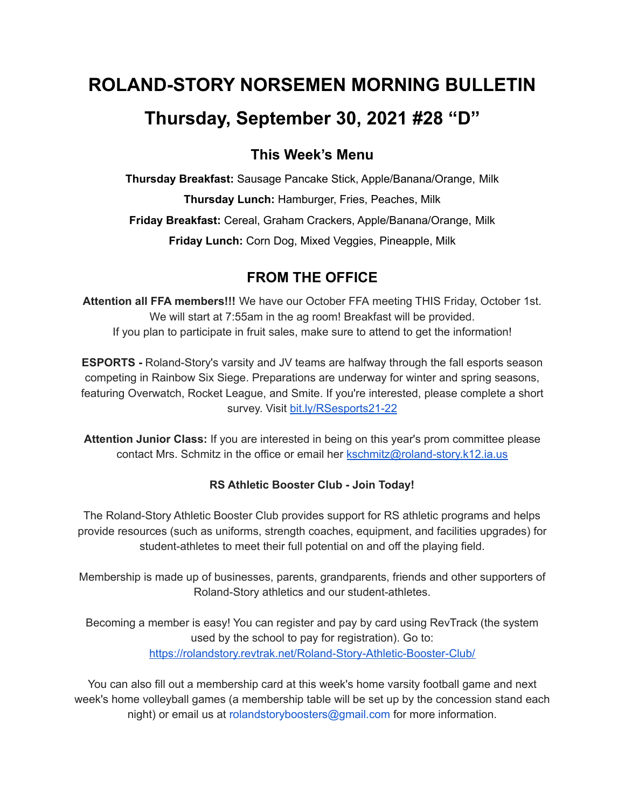# **ROLAND-STORY NORSEMEN MORNING BULLETIN**

# **Thursday, September 30, 2021 #28 "D"**

# **This Week's Menu**

**Thursday Breakfast:** Sausage Pancake Stick, Apple/Banana/Orange, Milk **Thursday Lunch:** Hamburger, Fries, Peaches, Milk **Friday Breakfast:** Cereal, Graham Crackers, Apple/Banana/Orange, Milk **Friday Lunch:** Corn Dog, Mixed Veggies, Pineapple, Milk

# **FROM THE OFFICE**

**Attention all FFA members!!!** We have our October FFA meeting THIS Friday, October 1st. We will start at 7:55am in the ag room! Breakfast will be provided. If you plan to participate in fruit sales, make sure to attend to get the information!

**ESPORTS -** Roland-Story's varsity and JV teams are halfway through the fall esports season competing in Rainbow Six Siege. Preparations are underway for winter and spring seasons, featuring Overwatch, Rocket League, and Smite. If you're interested, please complete a short survey. Visit [bit.ly/RSesports21-22](http://bit.ly/RSesports21-22)

**Attention Junior Class:** If you are interested in being on this year's prom committee please contact Mrs. Schmitz in the office or email her [kschmitz@roland-story.k12.ia.us](mailto:kschmitz@roland-story.k12.ia.us)

### **RS Athletic Booster Club - Join Today!**

The Roland-Story Athletic Booster Club provides support for RS athletic programs and helps provide resources (such as uniforms, strength coaches, equipment, and facilities upgrades) for student-athletes to meet their full potential on and off the playing field.

Membership is made up of businesses, parents, grandparents, friends and other supporters of Roland-Story athletics and our student-athletes.

Becoming a member is easy! You can register and pay by card using RevTrack (the system used by the school to pay for registration). Go to: <https://rolandstory.revtrak.net/Roland-Story-Athletic-Booster-Club/>

You can also fill out a membership card at this week's home varsity football game and next week's home volleyball games (a membership table will be set up by the concession stand each night) or email us at rolandstoryboosters@gmail.com for more information.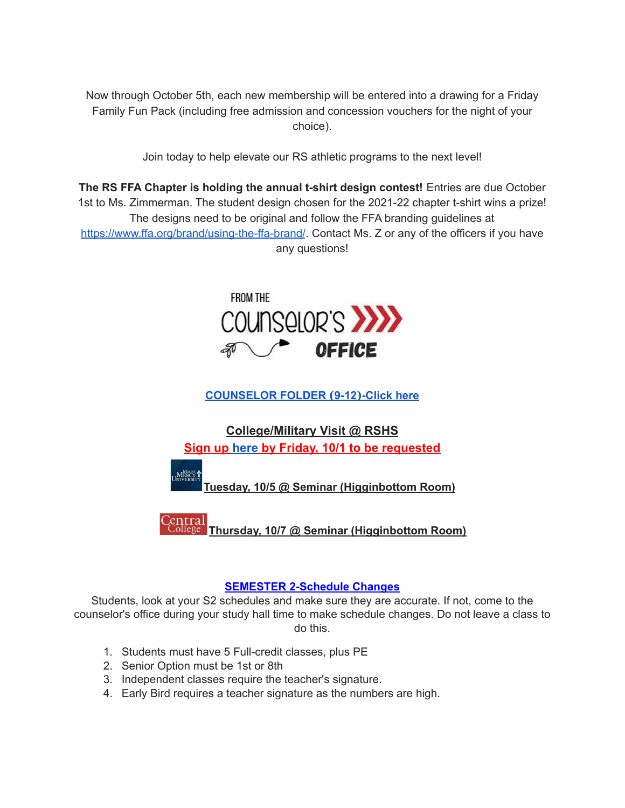Now through October 5th, each new membership will be entered into a drawing for a Friday Family Fun Pack (including free admission and concession vouchers for the night of your choice).

Join today to help elevate our RS athletic programs to the next level!

**The RS FFA Chapter is holding the annual t-shirt design contest!** Entries are due October 1st to Ms. Zimmerman. The student design chosen for the 2021-22 chapter t-shirt wins a prize! The designs need to be original and follow the FFA branding guidelines at <https://www.ffa.org/brand/using-the-ffa-brand/>. Contact Ms. Z or any of the officers if you have any questions!



**[COUNSELOR](https://docs.google.com/document/d/1vmwczNPbDzXe9vFaG5LJMQ7NYDv-i4oQJHybqA65TUc/edit?usp=sharing) FOLDER (9-12)-Click here**

**College/Military Visit @ RSHS Sign up [here](https://forms.gle/9pTD2FPMHGQVCXTcA) by Friday, 10/1 to be requested**

MERCY **Tuesday, 10/5 @ Seminar (Higginbottom Room)**

**Thursday, 10/7 @ Seminar (Higginbottom Room)**

#### **SEMESTER 2-Schedule Changes**

Students, look at your S2 schedules and make sure they are accurate. If not, come to the counselor's office during your study hall time to make schedule changes. Do not leave a class to do this.

- 1. Students must have 5 Full-credit classes, plus PE
- 2. Senior Option must be 1st or 8th
- 3. Independent classes require the teacher's signature.
- 4. Early Bird requires a teacher signature as the numbers are high.